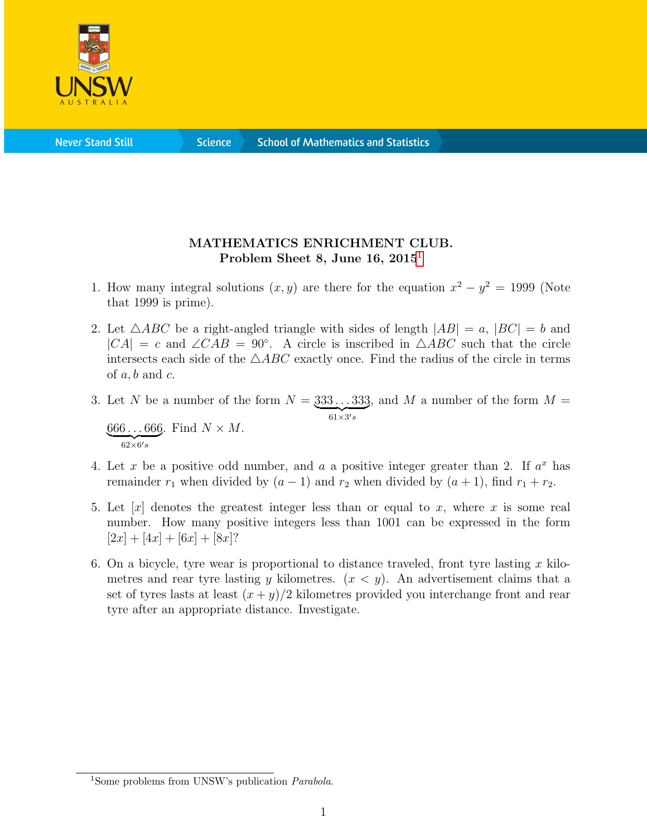

**Science** 

## MATHEMATICS ENRICHMENT CLUB. Problem Sheet 8, June [1](#page-0-0)6,  $2015<sup>1</sup>$

- 1. How many integral solutions  $(x, y)$  are there for the equation  $x^2 y^2 = 1999$  (Note that 1999 is prime).
- 2. Let  $\triangle ABC$  be a right-angled triangle with sides of length  $|AB| = a$ ,  $|BC| = b$  and  $|CA| = c$  and  $\angle CAB = 90^\circ$ . A circle is inscribed in  $\triangle ABC$  such that the circle intersects each side of the  $\triangle ABC$  exactly once. Find the radius of the circle in terms of  $a, b$  and  $c$ .
- 3. Let N be a number of the form  $N = 333...333$  $61\times3's$ , and M a number of the form  $M =$ 666 . . . 666  $\overline{62\times 6's}$ . Find  $N \times M$ .
- 4. Let x be a positive odd number, and a a positive integer greater than 2. If  $a^x$  has remainder  $r_1$  when divided by  $(a - 1)$  and  $r_2$  when divided by  $(a + 1)$ , find  $r_1 + r_2$ .
- 5. Let  $[x]$  denotes the greatest integer less than or equal to x, where x is some real number. How many positive integers less than 1001 can be expressed in the form  $[2x] + [4x] + [6x] + [8x]$ ?
- 6. On a bicycle, tyre wear is proportional to distance traveled, front tyre lasting x kilometres and rear tyre lasting y kilometres.  $(x \lt y)$ . An advertisement claims that a set of tyres lasts at least  $(x + y)/2$  kilometres provided you interchange front and rear tyre after an appropriate distance. Investigate.

<span id="page-0-0"></span><sup>&</sup>lt;sup>1</sup>Some problems from UNSW's publication *Parabola*.